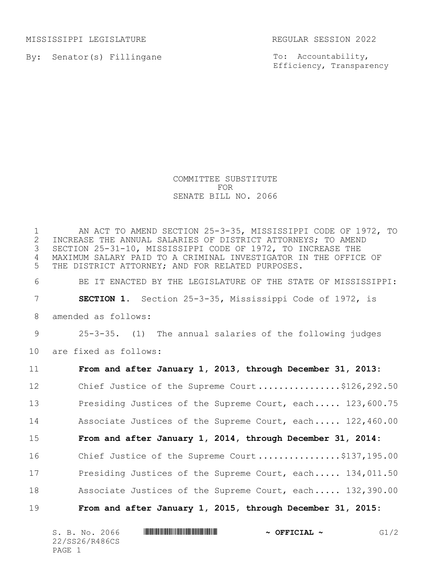MISSISSIPPI LEGISLATURE REGULAR SESSION 2022

By: Senator(s) Fillingane

To: Accountability, Efficiency, Transparency

## COMMITTEE SUBSTITUTE FOR SENATE BILL NO. 2066

 AN ACT TO AMEND SECTION 25-3-35, MISSISSIPPI CODE OF 1972, TO 2 INCREASE THE ANNUAL SALARIES OF DISTRICT ATTORNEYS; TO AMEND<br>3 SECTION 25-31-10, MISSISSIPPI CODE OF 1972, TO INCREASE THE SECTION 25-31-10, MISSISSIPPI CODE OF 1972, TO INCREASE THE MAXIMUM SALARY PAID TO A CRIMINAL INVESTIGATOR IN THE OFFICE OF THE DISTRICT ATTORNEY; AND FOR RELATED PURPOSES.

6 BE IT ENACTED BY THE LEGISLATURE OF THE STATE OF MISSISSIPPI:

7 **SECTION 1.** Section 25-3-35, Mississippi Code of 1972, is

8 amended as follows:

9 25-3-35. (1) The annual salaries of the following judges 10 are fixed as follows:

11 **From and after January 1, 2013, through December 31, 2013:** 12 Chief Justice of the Supreme Court ..................\$126,292.50 13 Presiding Justices of the Supreme Court, each..... 123,600.75 14 Associate Justices of the Supreme Court, each..... 122,460.00 15 **From and after January 1, 2014, through December 31, 2014:** 16 Chief Justice of the Supreme Court ..................\$137,195.00 17 Presiding Justices of the Supreme Court, each..... 134,011.50 18 Associate Justices of the Supreme Court, each..... 132,390.00 19 **From and after January 1, 2015, through December 31, 2015:**

| S. B. No. 2066 | <u> I I BEN DE LA DE LA DE LA BILITA DE LA BILITA DE LA BILITA DE LA BILITA DE LA BILITA DE LA BILITA DE LA BILI</u> | $\sim$ OFFICIAL $\sim$ |  |
|----------------|----------------------------------------------------------------------------------------------------------------------|------------------------|--|
| 22/SS26/R486CS |                                                                                                                      |                        |  |
| PAGE           |                                                                                                                      |                        |  |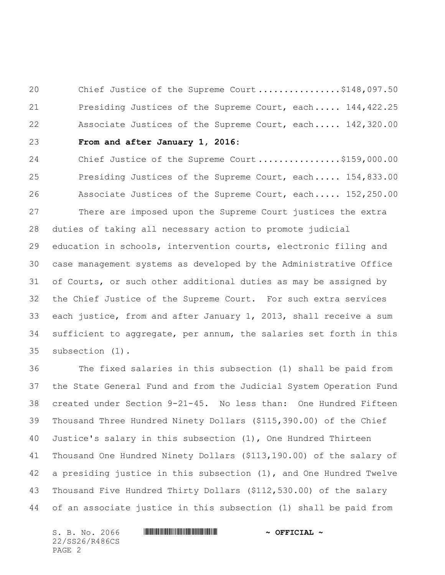20 Chief Justice of the Supreme Court ................\$148,097.50 21 Presiding Justices of the Supreme Court, each..... 144,422.25 22 Associate Justices of the Supreme Court, each..... 142,320.00

 **From and after January 1, 2016:**

24 Chief Justice of the Supreme Court .................\$159,000.00 25 Presiding Justices of the Supreme Court, each..... 154,833.00 26 Associate Justices of the Supreme Court, each..... 152,250.00 There are imposed upon the Supreme Court justices the extra duties of taking all necessary action to promote judicial education in schools, intervention courts, electronic filing and case management systems as developed by the Administrative Office of Courts, or such other additional duties as may be assigned by the Chief Justice of the Supreme Court. For such extra services each justice, from and after January 1, 2013, shall receive a sum sufficient to aggregate, per annum, the salaries set forth in this subsection (1).

 The fixed salaries in this subsection (1) shall be paid from the State General Fund and from the Judicial System Operation Fund created under Section 9-21-45. No less than: One Hundred Fifteen Thousand Three Hundred Ninety Dollars (\$115,390.00) of the Chief Justice's salary in this subsection (1), One Hundred Thirteen Thousand One Hundred Ninety Dollars (\$113,190.00) of the salary of a presiding justice in this subsection (1), and One Hundred Twelve Thousand Five Hundred Thirty Dollars (\$112,530.00) of the salary of an associate justice in this subsection (1) shall be paid from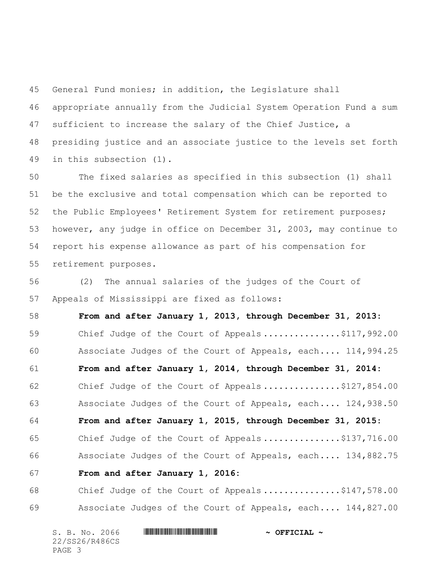General Fund monies; in addition, the Legislature shall appropriate annually from the Judicial System Operation Fund a sum sufficient to increase the salary of the Chief Justice, a presiding justice and an associate justice to the levels set forth in this subsection (1).

 The fixed salaries as specified in this subsection (1) shall be the exclusive and total compensation which can be reported to the Public Employees' Retirement System for retirement purposes; however, any judge in office on December 31, 2003, may continue to report his expense allowance as part of his compensation for retirement purposes.

 (2) The annual salaries of the judges of the Court of Appeals of Mississippi are fixed as follows:

 **From and after January 1, 2013, through December 31, 2013:** 59 Chief Judge of the Court of Appeals................\$117,992.00 60 Associate Judges of the Court of Appeals, each.... 114,994.25  **From and after January 1, 2014, through December 31, 2014:** 62 Chief Judge of the Court of Appeals ...............\$127,854.00 63 Associate Judges of the Court of Appeals, each.... 124,938.50  **From and after January 1, 2015, through December 31, 2015:** 65 Chief Judge of the Court of Appeals ...............\$137,716.00 66 Associate Judges of the Court of Appeals, each.... 134,882.75  **From and after January 1, 2016:** 68 Chief Judge of the Court of Appeals...............\$147,578.00

69 Associate Judges of the Court of Appeals, each.... 144,827.00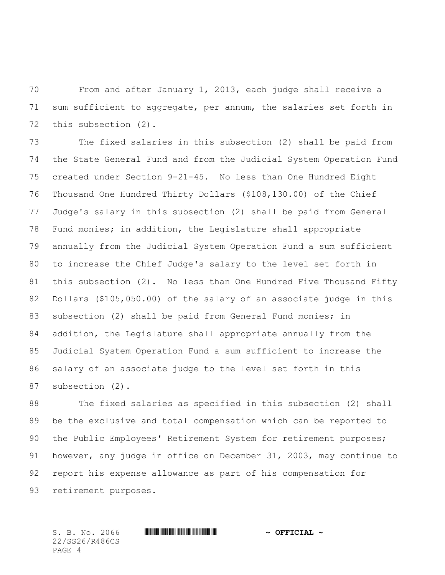From and after January 1, 2013, each judge shall receive a sum sufficient to aggregate, per annum, the salaries set forth in this subsection (2).

 The fixed salaries in this subsection (2) shall be paid from the State General Fund and from the Judicial System Operation Fund created under Section 9-21-45. No less than One Hundred Eight Thousand One Hundred Thirty Dollars (\$108,130.00) of the Chief Judge's salary in this subsection (2) shall be paid from General Fund monies; in addition, the Legislature shall appropriate annually from the Judicial System Operation Fund a sum sufficient to increase the Chief Judge's salary to the level set forth in this subsection (2). No less than One Hundred Five Thousand Fifty Dollars (\$105,050.00) of the salary of an associate judge in this subsection (2) shall be paid from General Fund monies; in addition, the Legislature shall appropriate annually from the Judicial System Operation Fund a sum sufficient to increase the salary of an associate judge to the level set forth in this subsection (2).

88 The fixed salaries as specified in this subsection (2) shall be the exclusive and total compensation which can be reported to 90 the Public Employees' Retirement System for retirement purposes; however, any judge in office on December 31, 2003, may continue to report his expense allowance as part of his compensation for retirement purposes.

22/SS26/R486CS PAGE 4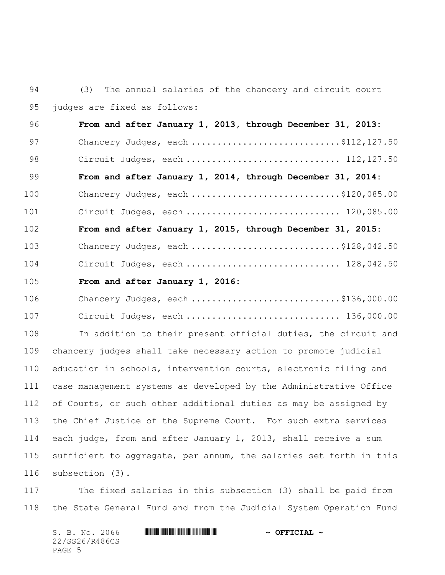(3) The annual salaries of the chancery and circuit court judges are fixed as follows:

 **From and after January 1, 2013, through December 31, 2013:** 97 Chancery Judges, each .................................\$112,127.50 98 Circuit Judges, each ................................... 112,127.50  **From and after January 1, 2014, through December 31, 2014:** 100 Chancery Judges, each ................................\$120,085.00 101 Circuit Judges, each .................................. 120,085.00  **From and after January 1, 2015, through December 31, 2015:** 103 Chancery Judges, each ................................\$128,042.50 104 Circuit Judges, each .............................. 128,042.50

## **From and after January 1, 2016:**

| 106 | Chancery Judges, each \$136,000.00 |  |
|-----|------------------------------------|--|
| 107 | Circuit Judges, each  136,000.00   |  |

 In addition to their present official duties, the circuit and chancery judges shall take necessary action to promote judicial education in schools, intervention courts, electronic filing and case management systems as developed by the Administrative Office of Courts, or such other additional duties as may be assigned by the Chief Justice of the Supreme Court. For such extra services each judge, from and after January 1, 2013, shall receive a sum sufficient to aggregate, per annum, the salaries set forth in this subsection (3).

 The fixed salaries in this subsection (3) shall be paid from the State General Fund and from the Judicial System Operation Fund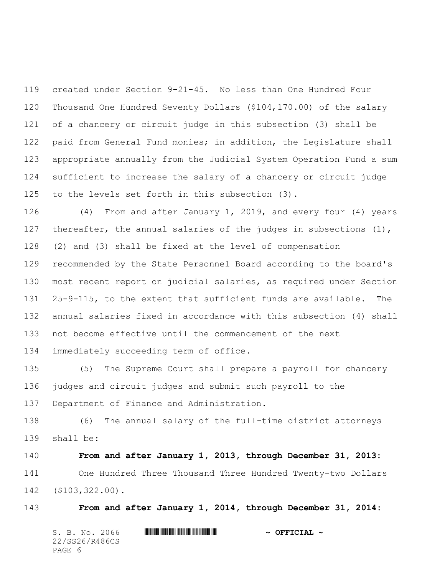created under Section 9-21-45. No less than One Hundred Four Thousand One Hundred Seventy Dollars (\$104,170.00) of the salary of a chancery or circuit judge in this subsection (3) shall be paid from General Fund monies; in addition, the Legislature shall appropriate annually from the Judicial System Operation Fund a sum sufficient to increase the salary of a chancery or circuit judge to the levels set forth in this subsection (3).

 (4) From and after January 1, 2019, and every four (4) years 127 thereafter, the annual salaries of the judges in subsections (1), (2) and (3) shall be fixed at the level of compensation recommended by the State Personnel Board according to the board's most recent report on judicial salaries, as required under Section 25-9-115, to the extent that sufficient funds are available. The annual salaries fixed in accordance with this subsection (4) shall not become effective until the commencement of the next immediately succeeding term of office.

 (5) The Supreme Court shall prepare a payroll for chancery judges and circuit judges and submit such payroll to the Department of Finance and Administration.

 (6) The annual salary of the full-time district attorneys shall be:

 **From and after January 1, 2013, through December 31, 2013:** One Hundred Three Thousand Three Hundred Twenty-two Dollars (\$103,322.00).

**From and after January 1, 2014, through December 31, 2014:**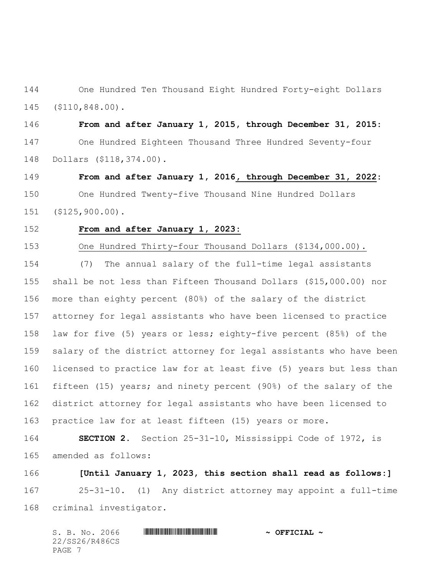One Hundred Ten Thousand Eight Hundred Forty-eight Dollars (\$110,848.00).

 **From and after January 1, 2015, through December 31, 2015:** One Hundred Eighteen Thousand Three Hundred Seventy-four Dollars (\$118,374.00).

 **From and after January 1, 2016, through December 31, 2022:** One Hundred Twenty-five Thousand Nine Hundred Dollars (\$125,900.00).

## **From and after January 1, 2023:**

One Hundred Thirty-four Thousand Dollars (\$134,000.00).

 (7) The annual salary of the full-time legal assistants shall be not less than Fifteen Thousand Dollars (\$15,000.00) nor more than eighty percent (80%) of the salary of the district attorney for legal assistants who have been licensed to practice law for five (5) years or less; eighty-five percent (85%) of the salary of the district attorney for legal assistants who have been licensed to practice law for at least five (5) years but less than fifteen (15) years; and ninety percent (90%) of the salary of the district attorney for legal assistants who have been licensed to practice law for at least fifteen (15) years or more.

 **SECTION 2.** Section 25-31-10, Mississippi Code of 1972, is amended as follows:

 **[Until January 1, 2023, this section shall read as follows:]** 25-31-10. (1) Any district attorney may appoint a full-time criminal investigator.

|        |  | S. B. No. 2066 | $\sim$ OFFICIAL $\sim$ |
|--------|--|----------------|------------------------|
|        |  | 22/SS26/R486CS |                        |
| PAGE 7 |  |                |                        |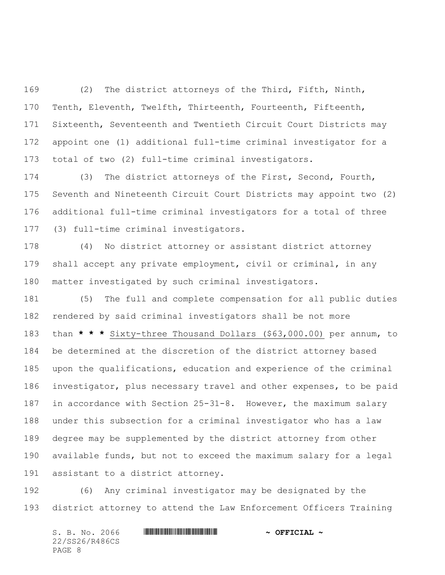(2) The district attorneys of the Third, Fifth, Ninth, Tenth, Eleventh, Twelfth, Thirteenth, Fourteenth, Fifteenth, Sixteenth, Seventeenth and Twentieth Circuit Court Districts may appoint one (1) additional full-time criminal investigator for a total of two (2) full-time criminal investigators.

 (3) The district attorneys of the First, Second, Fourth, Seventh and Nineteenth Circuit Court Districts may appoint two (2) additional full-time criminal investigators for a total of three (3) full-time criminal investigators.

 (4) No district attorney or assistant district attorney shall accept any private employment, civil or criminal, in any matter investigated by such criminal investigators.

 (5) The full and complete compensation for all public duties rendered by said criminal investigators shall be not more than **\* \* \*** Sixty-three Thousand Dollars (\$63,000.00) per annum, to be determined at the discretion of the district attorney based upon the qualifications, education and experience of the criminal investigator, plus necessary travel and other expenses, to be paid in accordance with Section 25-31-8. However, the maximum salary under this subsection for a criminal investigator who has a law degree may be supplemented by the district attorney from other available funds, but not to exceed the maximum salary for a legal assistant to a district attorney.

 (6) Any criminal investigator may be designated by the district attorney to attend the Law Enforcement Officers Training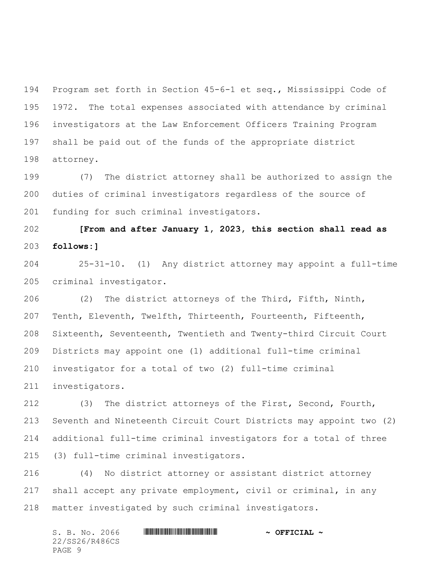Program set forth in Section 45-6-1 et seq., Mississippi Code of 1972. The total expenses associated with attendance by criminal investigators at the Law Enforcement Officers Training Program shall be paid out of the funds of the appropriate district attorney.

 (7) The district attorney shall be authorized to assign the duties of criminal investigators regardless of the source of funding for such criminal investigators.

 **[From and after January 1, 2023, this section shall read as follows:]**

 25-31-10. (1) Any district attorney may appoint a full-time criminal investigator.

 (2) The district attorneys of the Third, Fifth, Ninth, Tenth, Eleventh, Twelfth, Thirteenth, Fourteenth, Fifteenth, Sixteenth, Seventeenth, Twentieth and Twenty-third Circuit Court Districts may appoint one (1) additional full-time criminal investigator for a total of two (2) full-time criminal investigators.

 (3) The district attorneys of the First, Second, Fourth, Seventh and Nineteenth Circuit Court Districts may appoint two (2) additional full-time criminal investigators for a total of three (3) full-time criminal investigators.

 (4) No district attorney or assistant district attorney shall accept any private employment, civil or criminal, in any matter investigated by such criminal investigators.